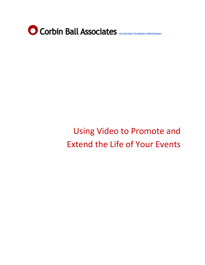

# Using Video to Promote and Extend the Life of Your Events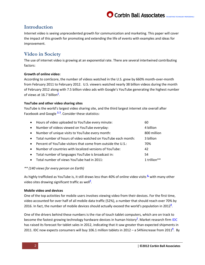## Corbin Ball Associates

### **Introduction**

Internet video is seeing unprecedented growth for communication and marketing. This paper will cover the impact of this growth for promoting and extending the life of events with examples and ideas for improvement.

## **Video in Society**

The use of internet video is growing at an exponential rate. There are several intertwined contributing factors:

#### **Growth of online video:**

According to comScore, the number of videos watched in the U.S. grew by 660% month-over-month from February 2011 to February 2012. U.S. viewers watched nearly 38 billion videos during the month of February 2012 along with 7.5 billion video ads with Google's YouTube generating the highest number of views at 16[.](http://www.comscore.com/Press_Events/Press_Releases/2012/3/comScore_Releases_February_2012_U.S._Online_Video_Rankings)7 billion<sup>1</sup>.

#### **YouTube and other video sharing sites**

YouTube is the world's largest video sharing site, and the third largest internet site overall after Facebook and Google <sup>[2,](http://www.alexa.com/topsites) [3](http://www.statisticbrain.com/youtube-statistics/)</sup>. Consider these statistics:

| $\bullet$ | Hours of video uploaded to YouTube every minute:              | 60          |
|-----------|---------------------------------------------------------------|-------------|
| $\bullet$ | Number of videos viewed on YouTube everyday:                  | 4 billion   |
| $\bullet$ | Number of unique visits to YouTube every month:               | 800 million |
| $\bullet$ | Total number of hours of video watched on YouTube each month: | 3 billion   |
| $\bullet$ | Percent of YouTube visitors that come from outside the U.S.:  | 70%         |
| $\bullet$ | Number of countries with localized versions of YouTube:       | 42          |
| $\bullet$ | Total number of languages YouTube is broadcast in:            | 54          |
| $\bullet$ | Total number of views YouTube had in 2011:                    | 1 trillion  |

#### *\*\* (140 views for every person on Earth)*

As highly trafficked as YouTube is, it still draws less than 40% of online video visits **[4,](http://www.dailyfinance.com/2011/06/20/youtube-now-draws-nearly-40-of-all-online-video-visits/)** with many other video sites drawing significant traffic as we[l](http://www.ebizmba.com/articles/video-websites)l<sup>§</sup>.

#### **Mobile video and devices**

One of the top activities for mobile users involves viewing video from their devices. For the first time, video accounted for over half of all mobile data traffic (52%), a number that should reach over 70% by 2016. In fact, the number of mobile devices should actually exceed the world's population in 201[2](http://techcrunch.com/2012/02/14/the-number-of-mobile-devices-will-exceed-worlds-population-by-2012-other-shocking-figures/)**<sup>6</sup>** .

One of the drivers behind these numbers is the rise of touch tablet computers, which are on track to become the fastest growing technolog[y](http://www.technologyreview.com/news/427787/are-smart-phones-spreading-faster-than-any/) hardware devices in human history<sup>Z</sup>. Market research firm [IDC](http://www.idc.com/) has raised its forecast for tablet sales in 2012, indicating that it saw greater than expected shipments in 2011. IDC now expects consumers will buy 106.1 million tablets in 2012 – a 54%increase from 201[1](http://www.idc.com/getdoc.jsp?containerId=prUS23371312)**<sup>8</sup>** . By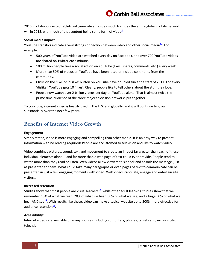2016, mobile-connected tablets will generate almost as much traffic as the entire global mobile network will in 2012, with much [o](http://techcrunch.com/2012/02/14/the-number-of-mobile-devices-will-exceed-worlds-population-by-2012-other-shocking-figures/)f that content being some form of video<sup>2</sup>.

Corbin Ball Associates

#### **Social media impact**

YouTube statistics indicate a very strong connection between video and other social media<sup>[10](http://www.youtube.com/t/press_statistics)</sup>: For example:

- 500 years of YouTube video are watched every day on Facebook, and over 700 YouTube videos are shared on Twitter each minute.
- 100 million people take a social action on YouTube (likes, shares, comments, etc.) every week.
- More than 50% of videos on YouTube have been rated or include comments from the community.
- Clicks on the 'like' or 'dislike' button on YouTube have doubled since the start of 2011. For every 'dislike,' YouTube gets 10 'likes'. Clearly, people like to tell others about the stuff they love.
- People now watch over 2 billion videos per day on YouTube alone! That is almost twice the prime time audience of the three major television networks put together<sup>[11](http://ezinearticles.com/6991303)</sup>.

To conclude, internet video is heavily used in the U.S. and globally, and it will continue to grow substantially over the next few years.

### **Benefits of Internet Video Growth**

#### **Engagement**

Simply stated, video is more engaging and compelling than other media. It is an easy way to present information with no reading required! People are accustomed to television and like to watch video.

Video combines pictures, sound, text and movement to create an impact far greater than each of these individual elements alone -- and far more than a web page of text could ever provide. People tend to watch more than they read or listen. Web videos allow viewers to sit back and absorb the message, just as presented to them. What could take many paragraphs or even pages of text to communicate can be presented in just a few engaging moments with video. Web videos captivate, engage and entertain site visitors.

#### **Increased retention**

Studies show that most people are visual learners<sup>[12](http://www.4faculty.org/includes/digdeeper/lesson4/learningstyles.htm)</sup>, while other adult learning studies show that we remember 10% of what we read, 20% of what we hear, 30% of what we see, and a huge 50% of what we hear AND see<sup>[13](http://www.ehow.com/info_7838512_multisensory-approaches-teaching-math.html)</sup>. With results like these, video can make a typical website up to 300% more effective for audience retention<sup>[14](http://blog.visiblegains.com/video-increases-retention-of-website-concepts-by-up-to-300/)</sup>.

#### **Accessibility:**

Internet videos are viewable on many sources including computers, phones, tablets and, increasingly, television.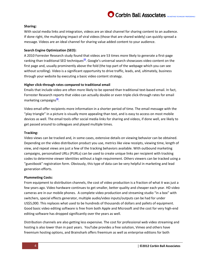## Corbin Ball Associates THE METINGS TECHNOLOGY PROFESSIONALS

#### **Sharing:**

With social media links and integration, videos are an ideal channel for sharing content to an audience. If done right, the multiplying impact of viral videos (those that are shared widely) can quickly spread a message. Videos are an ideal channel for sharing value added content to your audience.

#### **Search Engine Optimization (SEO):**

A 2010 Forrester Research study found that videos are 53 times more likely to generate a first-page ranking than traditional SEO techniques**[15](http://www.inc.com/guides/2010/05/search-engine-optimization-for-video.html)** . Google's universal search showcases video content on the first page and, usually prominently above the fold (the top part of the webpage which you can see without scrolling). Video is a significant opportunity to drive traffic, leads, and, ultimately, business through your website by executing a basic video content strategy.

#### **Higher click-through rates compared to traditional email**

Emails that include video are often more likely to be opened than traditional text-based email. In fact, Forrester Research reports that video can actually double or even triple click-through rates for email marketing campaigns<sup>[16](http://www.mediapost.com/publications/article/154749/double-your-email-marketing-ctr-use-video.html#ixzz26k6AfDOa)</sup>

Video email offer recipients more information in a shorter period of time. The email message with the "play triangle" in a picture is visually more appealing than text, and is easy to access on most mobile devices as well. The email tools offer social media links for sharing and videos, if done well, are likely to get passed around to colleagues and played multiple times.

#### **Tracking:**

Video views can be tracked and, in some cases, extensive details on viewing behavior can be obtained. Depending on the video distribution product you use, metrics like view receipts, viewing time, length of view, and repeat views are just a few of the tracking behaviors available. With outbound marketing campaigns, personalized URLs (PURLs) can be used to create unique links per recipient with tracking codes to determine viewer identities without a login requirement. Others viewers can be tracked using a "guestbook" registration form. Obviously, this type of data can be very helpful in marketing and lead generation efforts.

#### **Plummeting Costs:**

From equipment to distribution channels, the cost of video production is a fraction of what it was just a few years ago. Video hardware continues to get smaller, better quality and cheaper each year. HD video cameras are in our mobile phones. A complete video production and streaming studio "in a box" with switchers, special effects generator, multiple audio/video inputs/outputs can be had for under US\$5,000. This replaces what used to be hundreds of thousands of dollars and pallets of equipment. Good basic video editing software is free from both Apple and Microsoft and the cost for very high-end editing software has dropped significantly over the years as well.

Distribution channels are also getting less expensive. The cost for professional web video streaming and hosting is also lower than in past years. YouTube provides a free solution, Vimeo and others have freemium hosting options, and Brainshark offers freemium as well as enterprise editions for both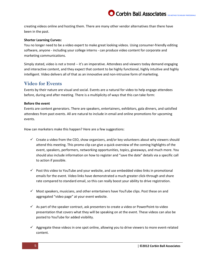creating videos online and hosting them. There are many other vendor alternatives than there have been in the past.

#### **Shorter Learning Curves:**

You no longer need to be a video expert to make great looking videos. Using consumer-friendly editing software, anyone - including your college interns - can produce video content for corporate and marketing communications.

Simply stated, video is not a trend -- it's an imperative. Attendees and viewers today demand engaging and interactive content, and they expect that content to be highly functional, highly intuitive and highly intelligent. Video delivers all of that as an innovative and non-intrusive form of marketing.

### **Video for Events**

Events by their nature are visual and social. Events are a natural for video to help engage attendees before, during and after meeting. There is a multiplicity of ways that this can take form:

#### **Before the event**

Events are content generators. There are speakers, entertainers, exhibitors, gala dinners, and satisfied attendees from past events. All are natural to include in email and online promotions for upcoming events.

How can marketers make this happen? Here are a few suggestions:

- $\checkmark$  Create a video from the CEO, show organizers, and/or key volunteers about why viewers should attend this meeting. This promo clip can give a quick overview of the coming highlights of the event, speakers, performers, networking opportunities, topics, giveaways, and much more. You should also include information on how to register and "save the date" details via a specific call to action if possible.
- $\checkmark$  Post this video to YouTube and your website, and use embedded video links in promotional emails for the event. Video links have demonstrated a much greater click-through and share rate compared to standard email, so this can really boost your ability to drive registration.
- $\checkmark$  Most speakers, musicians, and other entertainers have YouTube clips. Post these on and aggregated "video page" at your event website.
- $\checkmark$  As part of the speaker contract, ask presenters to create a video or PowerPoint-to-video presentation that covers what they will be speaking on at the event. These videos can also be posted to YouTube for added visibility.
- $\checkmark$  Aggregate these videos in one spot online, allowing you to drive viewers to more event-related content.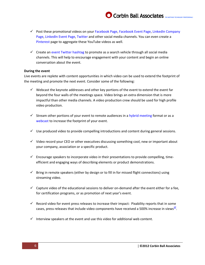- $\checkmark$  Post these promotional videos on you[r Facebook Page,](http://www.facebook.com/pages/create.php) [Facebook Event Page,](http://www.facebook.com/help/events/create) LinkedIn Company [Page,](file:///C:/Users/Corbin/Documents/Clients/Brainshark/learn.linkedin.com/company-pages/) [LinkedIn Event Page,](file:///C:/Users/Corbin/Documents/Clients/Brainshark/events.linkedin.com) [Twitter](http://www.twitter.com/) and other social media channels. You can even create a [Pinterest](http://www.pinterest.com/) page to aggregate these YouTube videos as well.
- $\checkmark$  Create an event Twitter [hashtag](http://tradeshowsocialmedia.com/event-hashtags-a-guide-to-using-them/) to promote as a search vehicle through all social media channels. This will help to encourage engagement with your content and begin an online conversation about the event.

#### **During the event**

Live events are replete with content opportunities in which video can be used to extend the footprint of the meeting and promote the next event. Consider some of the following:

- $\checkmark$  Webcast the keynote addresses and other key portions of the event to extend the event far beyond the four walls of the meetings space. Video brings an extra dimension that is more impactful than other media channels. A video production crew should be used for high profile video production.
- $\checkmark$  Stream other portions of your event to remote audiences in [a hybrid meeting](http://en.wikipedia.org/wiki/Hybrid_event) format or as a [webcast](http://en.wikipedia.org/wiki/Webcast) to increase the footprint of your event.
- $\checkmark$  Use produced video to provide compelling introductions and content during general sessions.
- $\checkmark$  Video record your CEO or other executives discussing something cool, new or important about your company, association or a specific product.
- $\checkmark$  Encourage speakers to incorporate video in their presentations to provide compelling, timeefficient and engaging ways of describing elements or product demonstrations.
- $\checkmark$  Bring in remote speakers (either by design or to fill in for missed flight connections) using streaming video.
- $\checkmark$  Capture video of the educational sessions to deliver on-demand after the event either for a fee, for certification programs, or as promotion of next year's event.
- $\checkmark$  Record video for event press releases to increase their impact: Pixability reports that in some cases, press releases that include video components have received a 500% increase in views<sup>[17](http://www.pixability.com/why-video-works)</sup>.
- $\checkmark$  Interview speakers at the event and use this video for additional web content.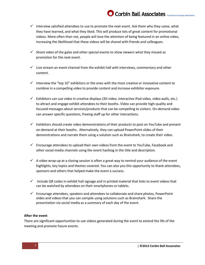## Corbin Ball Associates

- Interview satisfied attendees to use to promote the next event. Ask them why they came, what they have learned, and what they liked. This will produce lots of great content for promotional videos. More often than not, people will love the attention of being featured in an online video, increasing the likelihood that these videos will be shared with friends and colleagues.
- $\checkmark$  Shoot video of the galas and other special events to show viewers what they missed as promotion for the next event.
- $\checkmark$  Live stream an event channel from the exhibit hall with interviews, commentary and other content.
- Interview the "top 10" exhibitors or the ones with the most creative or innovative content to combine in a compelling video to provide content and increase exhibitor exposure.
- $\checkmark$  Exhibitors can use video in creative displays (3D video, interactive iPad video, video walls, etc.) to attract and engage exhibit attendees to their booths. Video can provide high-quality and focused messages about services/products that can be compelling to visitors. On-demand video can answer specific questions, freeing staff up for other interactions.
- $\checkmark$  Exhibitors should create video demonstrations of their products to post on YouTube and present on-demand at their booths. Alternatively, they can upload PowerPoint slides of their demonstrations and narrate them using a solution such as Brainshark, to create their video.
- $\checkmark$  Encourage attendees to upload their own videos from the event to YouTube, Facebook and other social media channels using the event hashtag in the title and description.
- $\checkmark$  A video wrap-up at a closing session is often a great way to remind your audience of the event highlights, key topics and themes covered. You can also you this opportunity to thank attendees, sponsors and others that helped make the event a success.
- $\checkmark$  Include QR codes in exhibit hall signage and in printed material that links to event videos that can be watched by attendees on their smartphones or tablets.
- $\checkmark$  Encourage attendees, speakers and attendees to collaborate and share photos, PowerPoint slides and videos that you can compile using solutions such as Brainshark. Share the presentation via social media as a summary of each day of the event.

#### **After the event**

There are significant opportunities to use videos generated during the event to extend the life of the meeting and promote future events.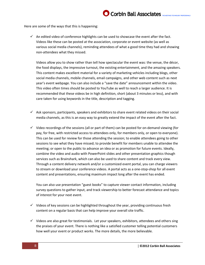Here are some of the ways that this is happening:

 $\checkmark$  An edited video of conference highlights can be used to showcase the event after the fact. Videos like these can be posted at the association, corporate or event website (as well as various social media channels), reminding attendees of what a good time they had and showing non-attendees what they missed.

Videos allow you to show rather than tell how spectacular the event was: the venue, the décor, the food displays, the impressive turnout, the existing entertainment, and the amazing speakers. This content makes excellent material for a variety of marketing vehicles including blogs, other social media channels, mobile channels, email campaigns, and other web content such as next year's event webpage. You can also include a "save the date" announcement within the video. This video often times should be posted to YouTube as well to reach a larger audience. It is recommended that these videos be in high definition, short (about 3 minutes or less), and with care taken for using keywords in the title, description and tagging.

- $\checkmark$  Ask sponsors, participants, speakers and exhibitors to share event related videos on their social media channels, as this is an easy way to greatly extend the impact of the event after the fact.
- $\checkmark$  Video recordings of the sessions (all or part of them) can be posted for on-demand viewing (for pay, for free, with restricted access to attendees only, for members only, or open to everyone). This can be used for review for those attending the session; to enable attendees going to other sessions to see what they have missed; to provide benefit for members unable to attendee the meeting; or open to the public to advance an idea or as promotion for future events. Ideally, combine the video and audio with PowerPoint slides and other presentation graphics though services such as Brainshark, which can also be used to share content and track every view. Through a content delivery network and/or a customized event portal, you can charge viewers to stream or download your conference videos. A portal acts as a one-stop-shop for all event content and presentations, ensuring maximum impact long after the event has ended.

You can also use presentation "guest books" to capture viewer contact information, including survey questions to gather input, and track viewership to better forecast attendance and topics of interest for your next event.

- $\checkmark$  Videos of key sessions can be highlighted throughout the year, providing continuous fresh content on a regular basis that can help improve your overall site traffic.
- $\checkmark$  Videos are also great for testimonials. Let your speakers, exhibitors, attendees and others sing the praises of your event. There is nothing like a satisfied customer telling potential customers how well your event or product works. The more details, the more believable.